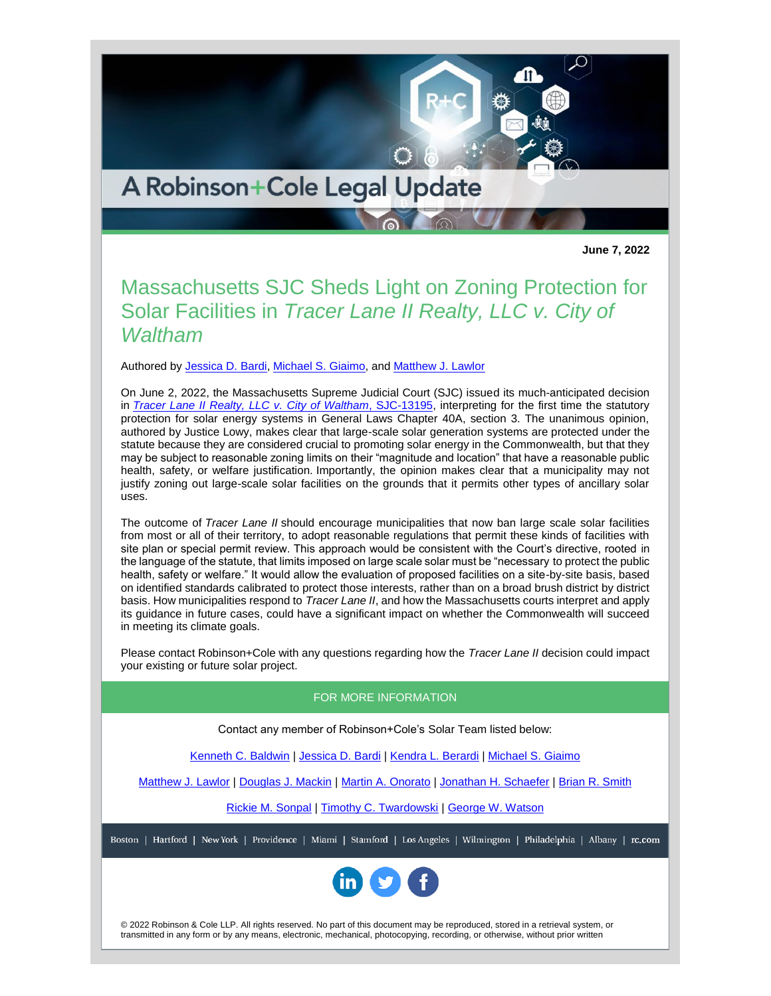A Robinson+Cole Legal Update

**June 7, 2022**

## Massachusetts SJC Sheds Light on Zoning Protection for Solar Facilities in *Tracer Lane II Realty, LLC v. City of Waltham*

Authored by [Jessica D. Bardi,](http://www.rc.com/people/JessicaBardi.cfm) [Michael S. Giaimo,](http://www.rc.com/people/MichaelSGiaimo.cfm) and [Matthew J. Lawlor](http://www.rc.com/people/MatthewJLawlor.cfm)

On June 2, 2022, the Massachusetts Supreme Judicial Court (SJC) issued its much-anticipated decision in *[Tracer Lane II Realty, LLC v. City of Waltham](https://www.mass.gov/doc/tracer-lane-v-waltham-13195/download)*[, SJC-13195,](https://www.mass.gov/doc/tracer-lane-v-waltham-13195/download) interpreting for the first time the statutory protection for solar energy systems in General Laws Chapter 40A, section 3. The unanimous opinion, authored by Justice Lowy, makes clear that large-scale solar generation systems are protected under the statute because they are considered crucial to promoting solar energy in the Commonwealth, but that they may be subject to reasonable zoning limits on their "magnitude and location" that have a reasonable public health, safety, or welfare justification. Importantly, the opinion makes clear that a municipality may not justify zoning out large-scale solar facilities on the grounds that it permits other types of ancillary solar uses.

The outcome of *Tracer Lane II* should encourage municipalities that now ban large scale solar facilities from most or all of their territory, to adopt reasonable regulations that permit these kinds of facilities with site plan or special permit review. This approach would be consistent with the Court's directive, rooted in the language of the statute, that limits imposed on large scale solar must be "necessary to protect the public health, safety or welfare." It would allow the evaluation of proposed facilities on a site-by-site basis, based on identified standards calibrated to protect those interests, rather than on a broad brush district by district basis. How municipalities respond to *Tracer Lane II*, and how the Massachusetts courts interpret and apply its guidance in future cases, could have a significant impact on whether the Commonwealth will succeed in meeting its climate goals.

Please contact Robinson+Cole with any questions regarding how the *Tracer Lane II* decision could impact your existing or future solar project.

## FOR MORE INFORMATION

Contact any member of Robinson+Cole's Solar Team listed below:

[Kenneth C. Baldwin](http://www.rc.com/people/KennethCBaldwin.cfm) | [Jessica D. Bardi](http://www.rc.com/people/JessicaBardi.cfm) | [Kendra L. Berardi](http://www.rc.com/people/KendraLBerardi.cfm) | [Michael S. Giaimo](http://www.rc.com/people/MichaelSGiaimo.cfm)

[Matthew J. Lawlor](http://www.rc.com/people/MatthewJLawlor.cfm) | [Douglas J. Mackin](http://www.rc.com/people/DouglasJMackin.cfm) | [Martin A. Onorato](http://www.rc.com/people/MartinAOnorato.cfm) | [Jonathan H. Schaefer](http://www.rc.com/people/JonathanHSchaefer.cfm) | [Brian R. Smith](http://www.rc.com/people/BrianRSmith.cfm)

[Rickie M. Sonpal](http://www.rc.com/people/RickieMSonpal.cfm) | [Timothy C. Twardowski](http://www.rc.com/people/TimothyCTwardowski.cfm) | [George W. Watson](http://www.rc.com/people/GeorgeWWatsonIII.cfm)

Boston | Hartford | New York | Providence | Miami | Stamford | Los Angeles | Wilmington | Philadelphia | Albany | rc.com



© 2022 Robinson & Cole LLP. All rights reserved. No part of this document may be reproduced, stored in a retrieval system, or transmitted in any form or by any means, electronic, mechanical, photocopying, recording, or otherwise, without prior written